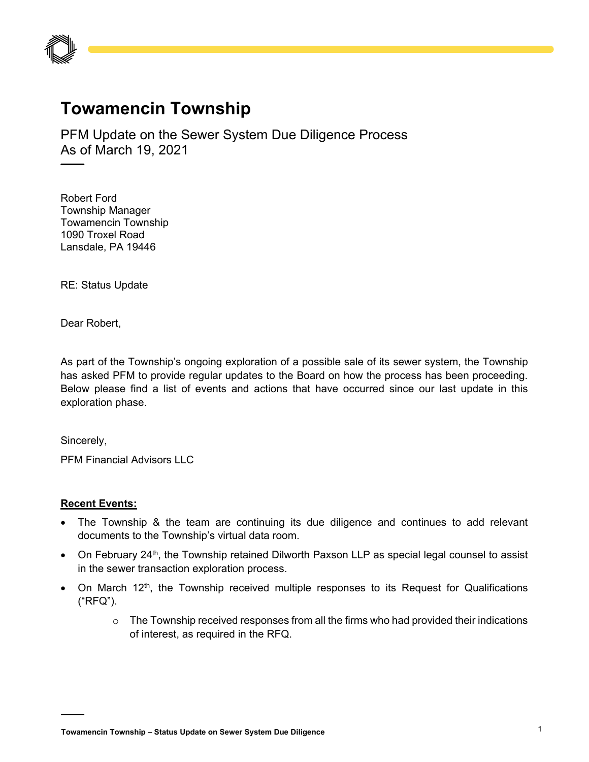

## **Towamencin Township**

PFM Update on the Sewer System Due Diligence Process As of March 19, 2021

Robert Ford Township Manager Towamencin Township 1090 Troxel Road Lansdale, PA 19446

RE: Status Update

Dear Robert,

As part of the Township's ongoing exploration of a possible sale of its sewer system, the Township has asked PFM to provide regular updates to the Board on how the process has been proceeding. Below please find a list of events and actions that have occurred since our last update in this exploration phase.

Sincerely,

PFM Financial Advisors LLC

## **Recent Events:**

- The Township & the team are continuing its due diligence and continues to add relevant documents to the Township's virtual data room.
- On February 24<sup>th</sup>, the Township retained Dilworth Paxson LLP as special legal counsel to assist in the sewer transaction exploration process.
- On March 12<sup>th</sup>, the Township received multiple responses to its Request for Qualifications ("RFQ").
	- $\circ$  The Township received responses from all the firms who had provided their indications of interest, as required in the RFQ.